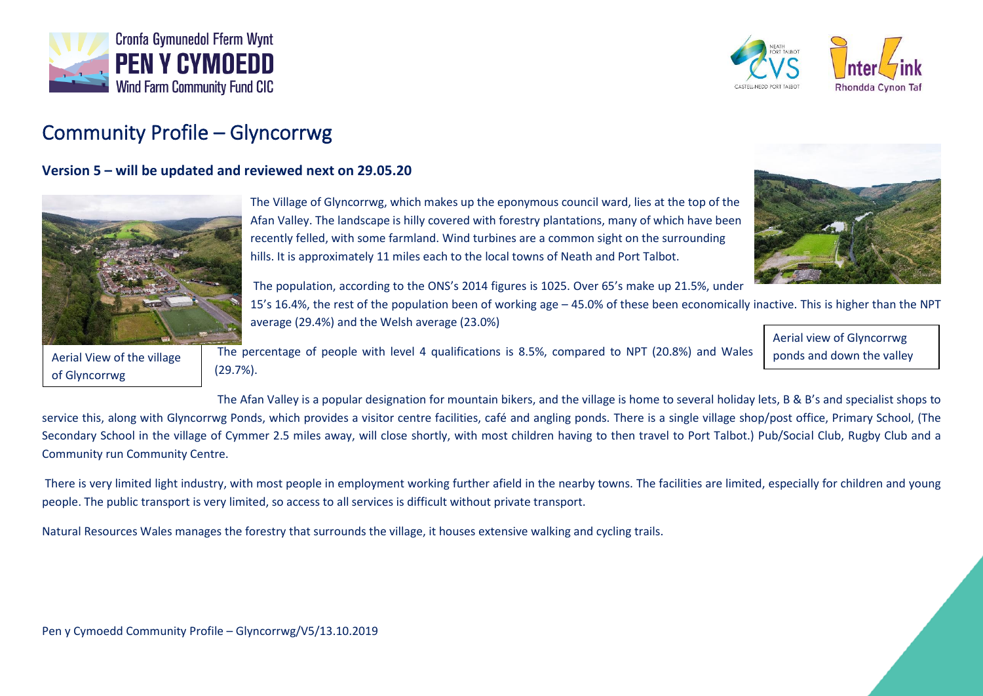



## Community Profile – Glyncorrwg

## **Version 5 – will be updated and reviewed next on 29.05.20**



The Village of Glyncorrwg, which makes up the eponymous council ward, lies at the top of the Afan Valley. The landscape is hilly covered with forestry plantations, many of which have been recently felled, with some farmland. Wind turbines are a common sight on the surrounding hills. It is approximately 11 miles each to the local towns of Neath and Port Talbot.

The population, according to the ONS's 2014 figures is 1025. Over 65's make up 21.5%, under

15's 16.4%, the rest of the population been of working age – 45.0% of these been economically inactive. This is higher than the NPT average (29.4%) and the Welsh average (23.0%) Aerial view of Glyncorrwg

Aerial View of the village of Glyncorrwg

The percentage of people with level 4 qualifications is 8.5%, compared to NPT (20.8%) and Wales (29.7%).

The Afan Valley is a popular designation for mountain bikers, and the village is home to several holiday lets, B & B's and specialist shops to service this, along with Glyncorrwg Ponds, which provides a visitor centre facilities, café and angling ponds. There is a single village shop/post office, Primary School, (The Secondary School in the village of Cymmer 2.5 miles away, will close shortly, with most children having to then travel to Port Talbot.) Pub/Social Club, Rugby Club and a Community run Community Centre.

There is very limited light industry, with most people in employment working further afield in the nearby towns. The facilities are limited, especially for children and young people. The public transport is very limited, so access to all services is difficult without private transport.

Natural Resources Wales manages the forestry that surrounds the village, it houses extensive walking and cycling trails.



ponds and down the valley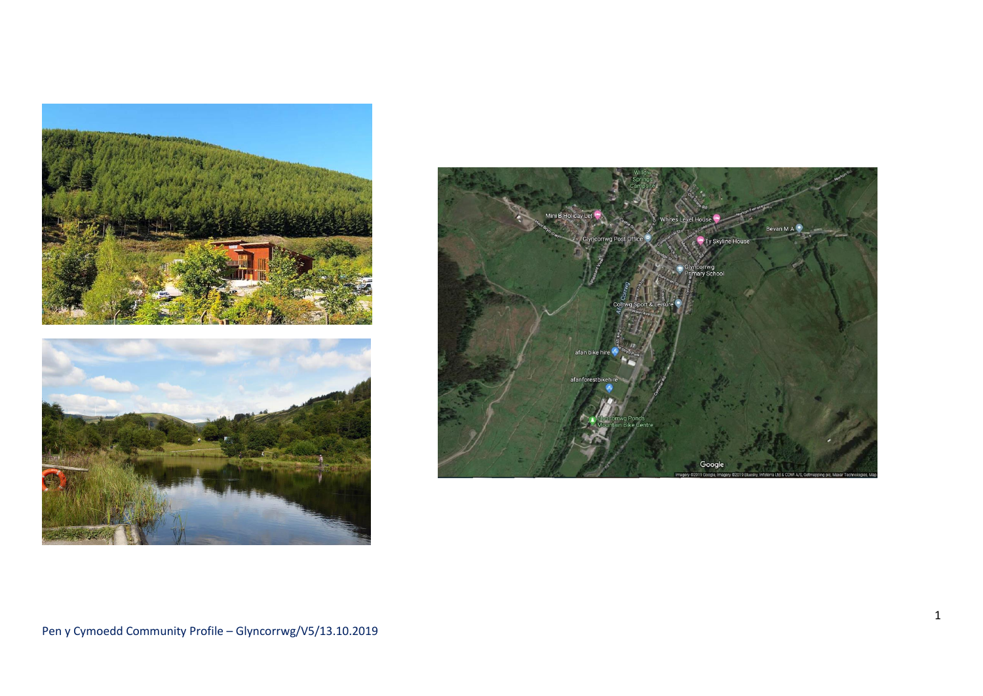

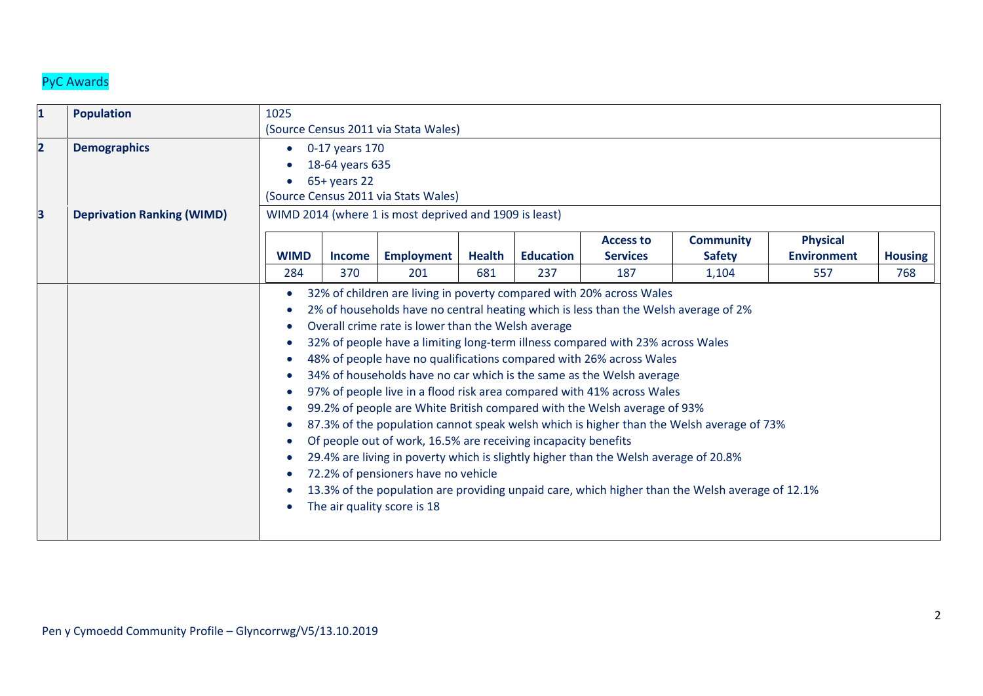## PyC Awards

| $\mathbf{1}$            | <b>Population</b>                 | 1025<br>(Source Census 2011 via Stata Wales)                                                             |  |               |                                                                                                                                                                                            |               |                  |                                                                                                                                                                                                                                                                                                                                                                                                                                                                                                                                                     |                                                                                                                                                                                                                                                                                    |                                       |                |
|-------------------------|-----------------------------------|----------------------------------------------------------------------------------------------------------|--|---------------|--------------------------------------------------------------------------------------------------------------------------------------------------------------------------------------------|---------------|------------------|-----------------------------------------------------------------------------------------------------------------------------------------------------------------------------------------------------------------------------------------------------------------------------------------------------------------------------------------------------------------------------------------------------------------------------------------------------------------------------------------------------------------------------------------------------|------------------------------------------------------------------------------------------------------------------------------------------------------------------------------------------------------------------------------------------------------------------------------------|---------------------------------------|----------------|
| $\overline{2}$          | <b>Demographics</b>               | 0-17 years 170<br>$\bullet$<br>18-64 years 635<br>$65+$ years 22<br>(Source Census 2011 via Stats Wales) |  |               |                                                                                                                                                                                            |               |                  |                                                                                                                                                                                                                                                                                                                                                                                                                                                                                                                                                     |                                                                                                                                                                                                                                                                                    |                                       |                |
| $\overline{\mathbf{3}}$ | <b>Deprivation Ranking (WIMD)</b> | <b>WIMD</b>                                                                                              |  | <b>Income</b> | WIMD 2014 (where 1 is most deprived and 1909 is least)<br><b>Employment</b>                                                                                                                | <b>Health</b> | <b>Education</b> | <b>Access to</b><br><b>Services</b>                                                                                                                                                                                                                                                                                                                                                                                                                                                                                                                 | <b>Community</b><br><b>Safety</b>                                                                                                                                                                                                                                                  | <b>Physical</b><br><b>Environment</b> | <b>Housing</b> |
|                         |                                   | 284                                                                                                      |  | 370           | 201                                                                                                                                                                                        | 681           | 237              | 187                                                                                                                                                                                                                                                                                                                                                                                                                                                                                                                                                 | 1,104                                                                                                                                                                                                                                                                              | 557                                   | 768            |
|                         |                                   | $\bullet$<br>$\bullet$<br>$\bullet$<br>$\bullet$<br>$\bullet$                                            |  |               | Overall crime rate is lower than the Welsh average<br>Of people out of work, 16.5% are receiving incapacity benefits<br>72.2% of pensioners have no vehicle<br>The air quality score is 18 |               |                  | 32% of children are living in poverty compared with 20% across Wales<br>32% of people have a limiting long-term illness compared with 23% across Wales<br>48% of people have no qualifications compared with 26% across Wales<br>34% of households have no car which is the same as the Welsh average<br>97% of people live in a flood risk area compared with 41% across Wales<br>99.2% of people are White British compared with the Welsh average of 93%<br>29.4% are living in poverty which is slightly higher than the Welsh average of 20.8% | 2% of households have no central heating which is less than the Welsh average of 2%<br>87.3% of the population cannot speak welsh which is higher than the Welsh average of 73%<br>13.3% of the population are providing unpaid care, which higher than the Welsh average of 12.1% |                                       |                |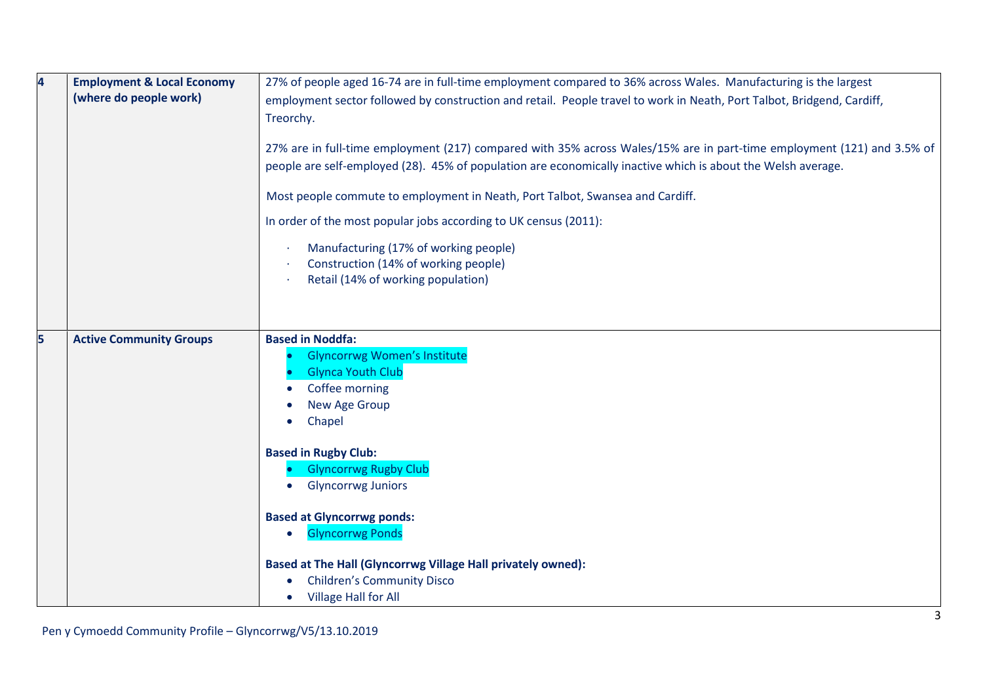| $\overline{\mathbf{4}}$ | <b>Employment &amp; Local Economy</b><br>(where do people work) | 27% of people aged 16-74 are in full-time employment compared to 36% across Wales. Manufacturing is the largest<br>employment sector followed by construction and retail. People travel to work in Neath, Port Talbot, Bridgend, Cardiff,<br>Treorchy.<br>27% are in full-time employment (217) compared with 35% across Wales/15% are in part-time employment (121) and 3.5% of<br>people are self-employed (28). 45% of population are economically inactive which is about the Welsh average.<br>Most people commute to employment in Neath, Port Talbot, Swansea and Cardiff.<br>In order of the most popular jobs according to UK census (2011):<br>Manufacturing (17% of working people)<br>Construction (14% of working people)<br>Retail (14% of working population) |
|-------------------------|-----------------------------------------------------------------|------------------------------------------------------------------------------------------------------------------------------------------------------------------------------------------------------------------------------------------------------------------------------------------------------------------------------------------------------------------------------------------------------------------------------------------------------------------------------------------------------------------------------------------------------------------------------------------------------------------------------------------------------------------------------------------------------------------------------------------------------------------------------|
| 5                       | <b>Active Community Groups</b>                                  | <b>Based in Noddfa:</b><br><b>Glyncorrwg Women's Institute</b><br><b>Glynca Youth Club</b><br>Coffee morning<br>New Age Group<br>Chapel<br><b>Based in Rugby Club:</b><br><b>Glyncorrwg Rugby Club</b><br><b>Glyncorrwg Juniors</b><br><b>Based at Glyncorrwg ponds:</b><br><b>Glyncorrwg Ponds</b><br><b>Based at The Hall (Glyncorrwg Village Hall privately owned):</b><br><b>Children's Community Disco</b><br>Village Hall for All                                                                                                                                                                                                                                                                                                                                      |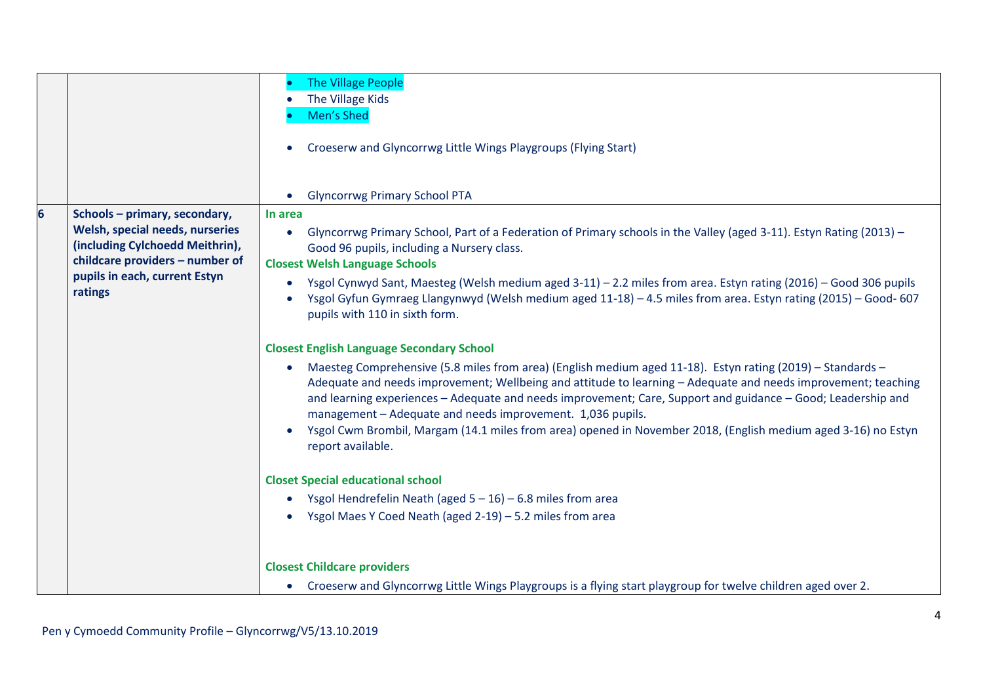|   |                                                                                                                                                                                    | <b>The Village People</b><br>The Village Kids<br>Men's Shed<br>Croeserw and Glyncorrwg Little Wings Playgroups (Flying Start)<br><b>Glyncorrwg Primary School PTA</b>                                                                                                                                                                                                                                                                                                                                                                                                                                                                                                                                                                                                                                                                                                                                                                                                                                                                                                                                                                                                                                                                                                                                                  |
|---|------------------------------------------------------------------------------------------------------------------------------------------------------------------------------------|------------------------------------------------------------------------------------------------------------------------------------------------------------------------------------------------------------------------------------------------------------------------------------------------------------------------------------------------------------------------------------------------------------------------------------------------------------------------------------------------------------------------------------------------------------------------------------------------------------------------------------------------------------------------------------------------------------------------------------------------------------------------------------------------------------------------------------------------------------------------------------------------------------------------------------------------------------------------------------------------------------------------------------------------------------------------------------------------------------------------------------------------------------------------------------------------------------------------------------------------------------------------------------------------------------------------|
| 6 | Schools - primary, secondary,<br>Welsh, special needs, nurseries<br>(including Cylchoedd Meithrin),<br>childcare providers - number of<br>pupils in each, current Estyn<br>ratings | In area<br>Glyncorrwg Primary School, Part of a Federation of Primary schools in the Valley (aged 3-11). Estyn Rating (2013) -<br>Good 96 pupils, including a Nursery class.<br><b>Closest Welsh Language Schools</b><br>Ysgol Cynwyd Sant, Maesteg (Welsh medium aged 3-11) – 2.2 miles from area. Estyn rating (2016) – Good 306 pupils<br>Ysgol Gyfun Gymraeg Llangynwyd (Welsh medium aged 11-18) - 4.5 miles from area. Estyn rating (2015) - Good- 607<br>pupils with 110 in sixth form.<br><b>Closest English Language Secondary School</b><br>Maesteg Comprehensive (5.8 miles from area) (English medium aged 11-18). Estyn rating (2019) - Standards -<br>Adequate and needs improvement; Wellbeing and attitude to learning - Adequate and needs improvement; teaching<br>and learning experiences - Adequate and needs improvement; Care, Support and guidance - Good; Leadership and<br>management - Adequate and needs improvement. 1,036 pupils.<br>Ysgol Cwm Brombil, Margam (14.1 miles from area) opened in November 2018, (English medium aged 3-16) no Estyn<br>report available.<br><b>Closet Special educational school</b><br>Ysgol Hendrefelin Neath (aged $5 - 16$ ) – 6.8 miles from area<br>Ysgol Maes Y Coed Neath (aged 2-19) - 5.2 miles from area<br><b>Closest Childcare providers</b> |
|   |                                                                                                                                                                                    | • Croeserw and Glyncorrwg Little Wings Playgroups is a flying start playgroup for twelve children aged over 2.                                                                                                                                                                                                                                                                                                                                                                                                                                                                                                                                                                                                                                                                                                                                                                                                                                                                                                                                                                                                                                                                                                                                                                                                         |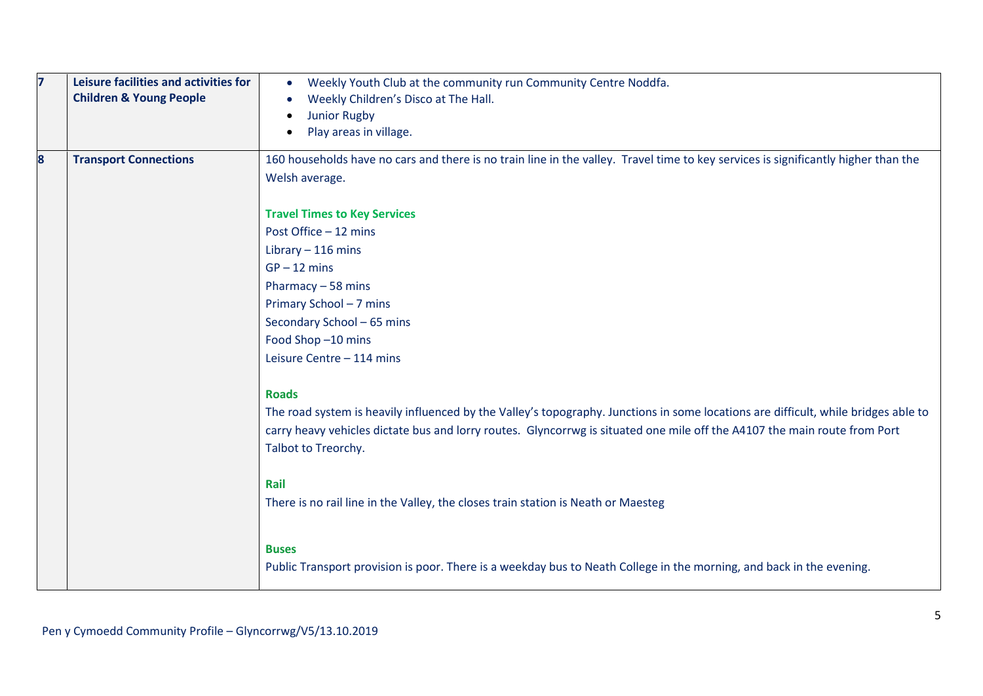| $\overline{\mathbf{z}}$ | Leisure facilities and activities for<br><b>Children &amp; Young People</b> | Weekly Youth Club at the community run Community Centre Noddfa.<br>$\bullet$<br>Weekly Children's Disco at The Hall.<br>$\bullet$<br><b>Junior Rugby</b><br>$\bullet$<br>Play areas in village.<br>$\bullet$                                                                                                                                                                                        |
|-------------------------|-----------------------------------------------------------------------------|-----------------------------------------------------------------------------------------------------------------------------------------------------------------------------------------------------------------------------------------------------------------------------------------------------------------------------------------------------------------------------------------------------|
| 8                       | <b>Transport Connections</b>                                                | 160 households have no cars and there is no train line in the valley. Travel time to key services is significantly higher than the<br>Welsh average.                                                                                                                                                                                                                                                |
|                         |                                                                             | <b>Travel Times to Key Services</b><br>Post Office - 12 mins<br>Library $-116$ mins<br>$GP - 12$ mins<br>Pharmacy $-58$ mins<br>Primary School - 7 mins<br>Secondary School - 65 mins<br>Food Shop-10 mins<br>Leisure Centre - 114 mins                                                                                                                                                             |
|                         |                                                                             | <b>Roads</b><br>The road system is heavily influenced by the Valley's topography. Junctions in some locations are difficult, while bridges able to<br>carry heavy vehicles dictate bus and lorry routes. Glyncorrwg is situated one mile off the A4107 the main route from Port<br>Talbot to Treorchy.<br>Rail<br>There is no rail line in the Valley, the closes train station is Neath or Maesteg |
|                         |                                                                             | <b>Buses</b><br>Public Transport provision is poor. There is a weekday bus to Neath College in the morning, and back in the evening.                                                                                                                                                                                                                                                                |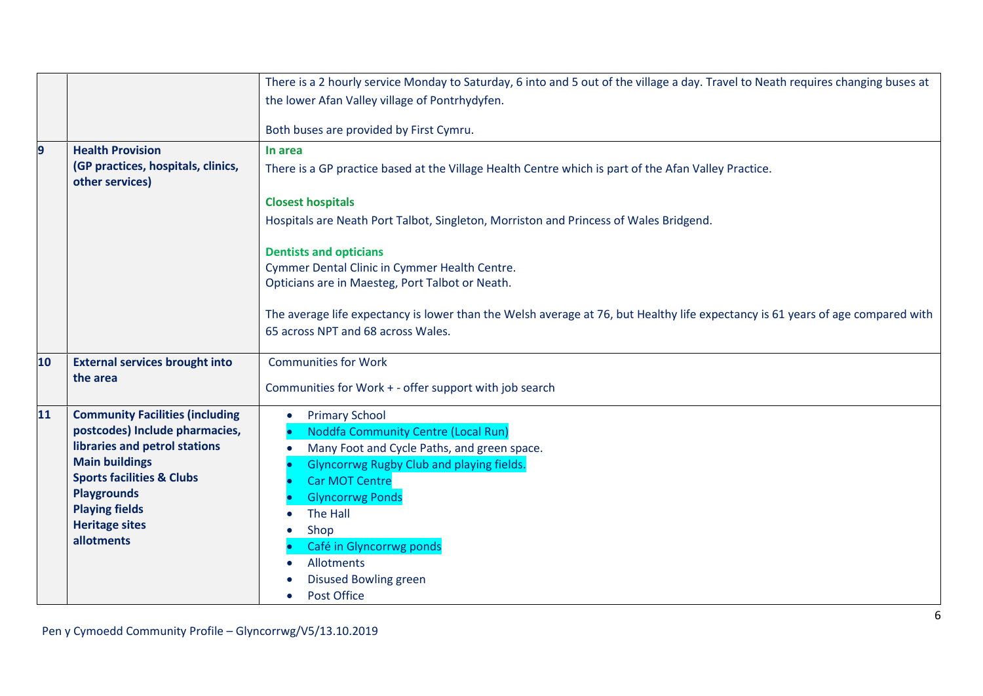|    |                                                       | There is a 2 hourly service Monday to Saturday, 6 into and 5 out of the village a day. Travel to Neath requires changing buses at<br>the lower Afan Valley village of Pontrhydyfen. |  |  |  |
|----|-------------------------------------------------------|-------------------------------------------------------------------------------------------------------------------------------------------------------------------------------------|--|--|--|
|    |                                                       | Both buses are provided by First Cymru.                                                                                                                                             |  |  |  |
| 9  | <b>Health Provision</b>                               | In area                                                                                                                                                                             |  |  |  |
|    | (GP practices, hospitals, clinics,<br>other services) | There is a GP practice based at the Village Health Centre which is part of the Afan Valley Practice.                                                                                |  |  |  |
|    |                                                       | <b>Closest hospitals</b>                                                                                                                                                            |  |  |  |
|    |                                                       | Hospitals are Neath Port Talbot, Singleton, Morriston and Princess of Wales Bridgend.                                                                                               |  |  |  |
|    |                                                       | <b>Dentists and opticians</b>                                                                                                                                                       |  |  |  |
|    |                                                       | Cymmer Dental Clinic in Cymmer Health Centre.                                                                                                                                       |  |  |  |
|    |                                                       | Opticians are in Maesteg, Port Talbot or Neath.                                                                                                                                     |  |  |  |
|    |                                                       | The average life expectancy is lower than the Welsh average at 76, but Healthy life expectancy is 61 years of age compared with                                                     |  |  |  |
|    |                                                       | 65 across NPT and 68 across Wales.                                                                                                                                                  |  |  |  |
| 10 | <b>External services brought into</b>                 | <b>Communities for Work</b>                                                                                                                                                         |  |  |  |
|    | the area                                              | Communities for Work + - offer support with job search                                                                                                                              |  |  |  |
| 11 | <b>Community Facilities (including</b>                | <b>Primary School</b><br>$\bullet$                                                                                                                                                  |  |  |  |
|    | postcodes) Include pharmacies,                        | <b>Noddfa Community Centre (Local Run)</b>                                                                                                                                          |  |  |  |
|    | libraries and petrol stations                         | Many Foot and Cycle Paths, and green space.                                                                                                                                         |  |  |  |
|    | <b>Main buildings</b>                                 | Glyncorrwg Rugby Club and playing fields.                                                                                                                                           |  |  |  |
|    | <b>Sports facilities &amp; Clubs</b>                  | <b>Car MOT Centre</b>                                                                                                                                                               |  |  |  |
|    | <b>Playgrounds</b>                                    | <b>Glyncorrwg Ponds</b>                                                                                                                                                             |  |  |  |
|    | <b>Playing fields</b><br><b>Heritage sites</b>        | The Hall                                                                                                                                                                            |  |  |  |
|    | allotments                                            | Shop<br>$\bullet$                                                                                                                                                                   |  |  |  |
|    |                                                       | Café in Glyncorrwg ponds                                                                                                                                                            |  |  |  |
|    |                                                       | <b>Allotments</b>                                                                                                                                                                   |  |  |  |
|    |                                                       | <b>Disused Bowling green</b>                                                                                                                                                        |  |  |  |
|    |                                                       | <b>Post Office</b>                                                                                                                                                                  |  |  |  |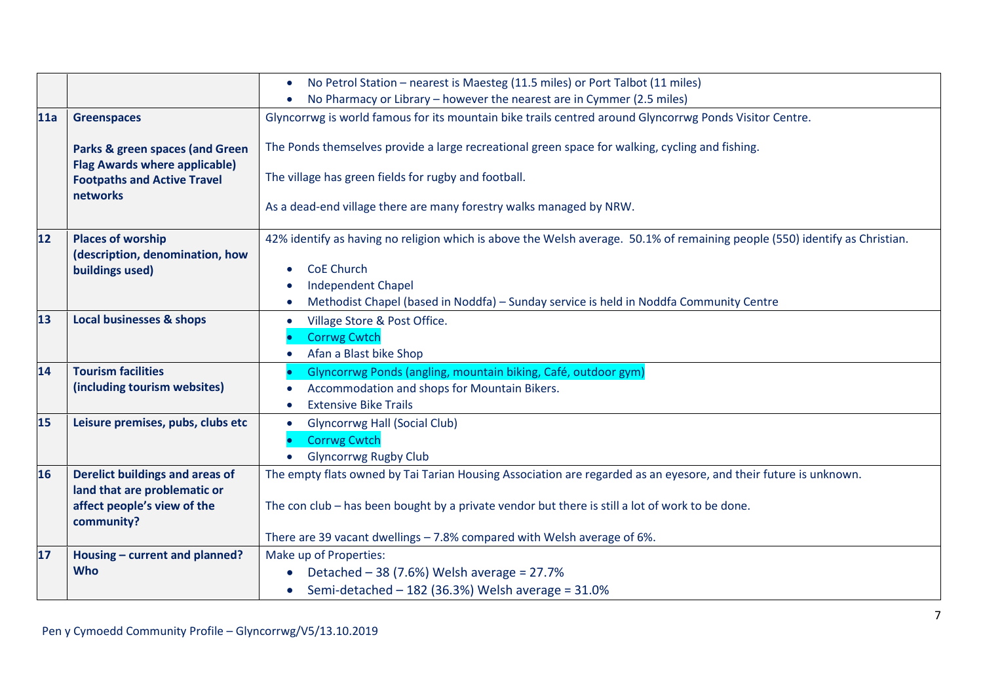|     |                                                                            | No Petrol Station - nearest is Maesteg (11.5 miles) or Port Talbot (11 miles)<br>$\bullet$                                  |
|-----|----------------------------------------------------------------------------|-----------------------------------------------------------------------------------------------------------------------------|
|     |                                                                            | No Pharmacy or Library - however the nearest are in Cymmer (2.5 miles)                                                      |
| 11a | <b>Greenspaces</b>                                                         | Glyncorrwg is world famous for its mountain bike trails centred around Glyncorrwg Ponds Visitor Centre.                     |
|     | Parks & green spaces (and Green                                            | The Ponds themselves provide a large recreational green space for walking, cycling and fishing.                             |
|     | <b>Flag Awards where applicable)</b><br><b>Footpaths and Active Travel</b> | The village has green fields for rugby and football.                                                                        |
|     | networks                                                                   | As a dead-end village there are many forestry walks managed by NRW.                                                         |
| 12  | <b>Places of worship</b>                                                   | 42% identify as having no religion which is above the Welsh average. 50.1% of remaining people (550) identify as Christian. |
|     | (description, denomination, how<br>buildings used)                         | <b>CoE Church</b>                                                                                                           |
|     |                                                                            | <b>Independent Chapel</b>                                                                                                   |
|     |                                                                            | Methodist Chapel (based in Noddfa) - Sunday service is held in Noddfa Community Centre                                      |
| 13  | <b>Local businesses &amp; shops</b>                                        | Village Store & Post Office.                                                                                                |
|     |                                                                            | <b>Corrwg Cwtch</b>                                                                                                         |
|     |                                                                            | Afan a Blast bike Shop                                                                                                      |
| 14  | <b>Tourism facilities</b>                                                  | Glyncorrwg Ponds (angling, mountain biking, Café, outdoor gym)                                                              |
|     | (including tourism websites)                                               | Accommodation and shops for Mountain Bikers.                                                                                |
|     |                                                                            | <b>Extensive Bike Trails</b>                                                                                                |
| 15  | Leisure premises, pubs, clubs etc                                          | <b>Glyncorrwg Hall (Social Club)</b><br>$\bullet$                                                                           |
|     |                                                                            | <b>Corrwg Cwtch</b>                                                                                                         |
|     |                                                                            | <b>Glyncorrwg Rugby Club</b>                                                                                                |
| 16  | Derelict buildings and areas of                                            | The empty flats owned by Tai Tarian Housing Association are regarded as an eyesore, and their future is unknown.            |
|     | land that are problematic or                                               |                                                                                                                             |
|     | affect people's view of the<br>community?                                  | The con club - has been bought by a private vendor but there is still a lot of work to be done.                             |
|     |                                                                            | There are 39 vacant dwellings - 7.8% compared with Welsh average of 6%.                                                     |
| 17  | Housing - current and planned?                                             | Make up of Properties:                                                                                                      |
|     | <b>Who</b>                                                                 | Detached - 38 (7.6%) Welsh average = $27.7%$<br>$\bullet$                                                                   |
|     |                                                                            | Semi-detached $-$ 182 (36.3%) Welsh average = 31.0%                                                                         |
|     |                                                                            |                                                                                                                             |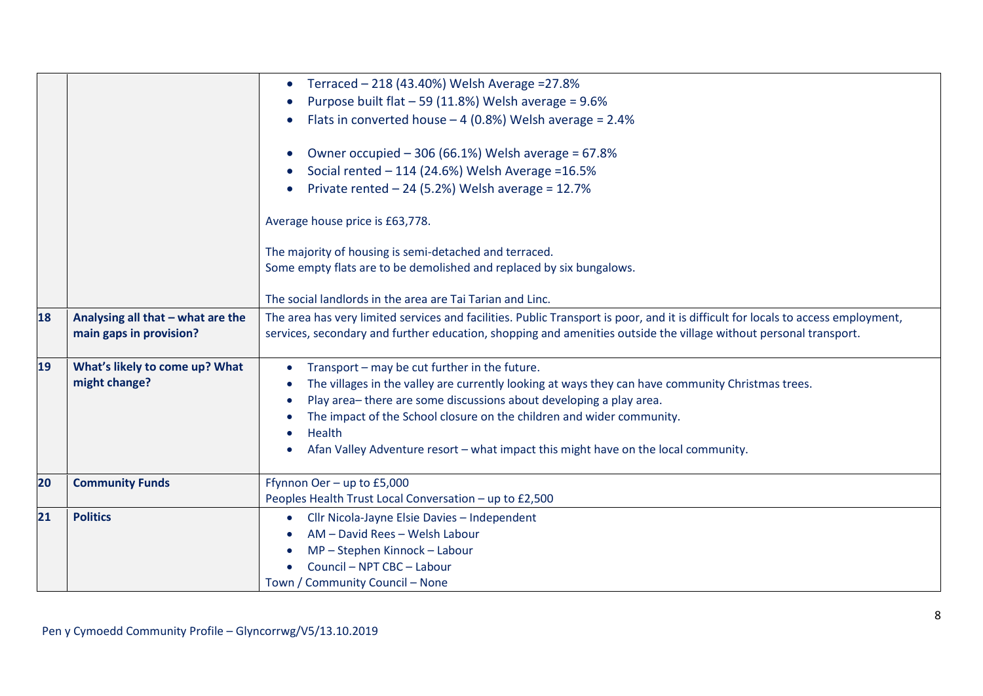|    |                                                              | Terraced - 218 (43.40%) Welsh Average = 27.8%<br>$\bullet$                                                                                                                                                                                             |  |  |
|----|--------------------------------------------------------------|--------------------------------------------------------------------------------------------------------------------------------------------------------------------------------------------------------------------------------------------------------|--|--|
|    |                                                              | Purpose built flat $-59$ (11.8%) Welsh average = $9.6\%$                                                                                                                                                                                               |  |  |
|    |                                                              | Flats in converted house $-4$ (0.8%) Welsh average = 2.4%                                                                                                                                                                                              |  |  |
|    |                                                              | Owner occupied $-306$ (66.1%) Welsh average = 67.8%                                                                                                                                                                                                    |  |  |
|    |                                                              | Social rented - 114 (24.6%) Welsh Average = 16.5%                                                                                                                                                                                                      |  |  |
|    |                                                              | Private rented $-24$ (5.2%) Welsh average = 12.7%                                                                                                                                                                                                      |  |  |
|    |                                                              | Average house price is £63,778.                                                                                                                                                                                                                        |  |  |
|    |                                                              | The majority of housing is semi-detached and terraced.                                                                                                                                                                                                 |  |  |
|    |                                                              | Some empty flats are to be demolished and replaced by six bungalows.                                                                                                                                                                                   |  |  |
|    |                                                              | The social landlords in the area are Tai Tarian and Linc.                                                                                                                                                                                              |  |  |
| 18 | Analysing all that - what are the<br>main gaps in provision? | The area has very limited services and facilities. Public Transport is poor, and it is difficult for locals to access employment,<br>services, secondary and further education, shopping and amenities outside the village without personal transport. |  |  |
| 19 | What's likely to come up? What                               | Transport - may be cut further in the future.<br>$\bullet$                                                                                                                                                                                             |  |  |
|    | might change?                                                | The villages in the valley are currently looking at ways they can have community Christmas trees.                                                                                                                                                      |  |  |
|    |                                                              | Play area-there are some discussions about developing a play area.                                                                                                                                                                                     |  |  |
|    |                                                              | The impact of the School closure on the children and wider community.<br>$\bullet$                                                                                                                                                                     |  |  |
|    |                                                              | Health<br>$\bullet$                                                                                                                                                                                                                                    |  |  |
|    |                                                              | Afan Valley Adventure resort - what impact this might have on the local community.                                                                                                                                                                     |  |  |
| 20 | <b>Community Funds</b>                                       | Ffynnon Oer - up to £5,000                                                                                                                                                                                                                             |  |  |
|    |                                                              | Peoples Health Trust Local Conversation - up to £2,500                                                                                                                                                                                                 |  |  |
| 21 | <b>Politics</b>                                              | Cllr Nicola-Jayne Elsie Davies - Independent<br>$\bullet$                                                                                                                                                                                              |  |  |
|    |                                                              | AM - David Rees - Welsh Labour                                                                                                                                                                                                                         |  |  |
|    |                                                              | MP - Stephen Kinnock - Labour                                                                                                                                                                                                                          |  |  |
|    |                                                              | Council - NPT CBC - Labour                                                                                                                                                                                                                             |  |  |
|    |                                                              | Town / Community Council - None                                                                                                                                                                                                                        |  |  |